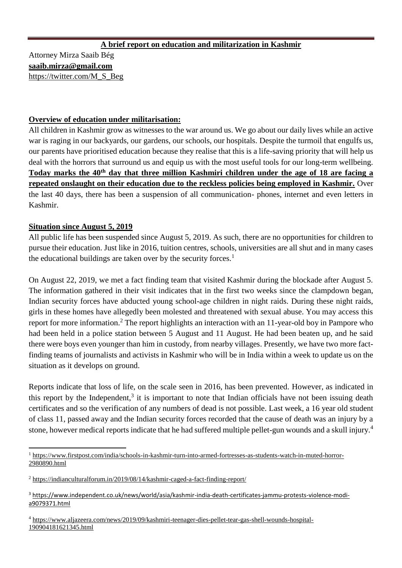# **A brief report on education and militarization in Kashmir**

Attorney Mirza Saaib Bég **[saaib.mirza@gmail.com](mailto:saaib.mirza@gmail.com)** [https://twitter.com/M\\_S\\_Beg](https://twitter.com/M_S_Beg)

## **Overview of education under militarisation:**

All children in Kashmir grow as witnesses to the war around us. We go about our daily lives while an active war is raging in our backyards, our gardens, our schools, our hospitals. Despite the turmoil that engulfs us, our parents have prioritised education because they realise that this is a life-saving priority that will help us deal with the horrors that surround us and equip us with the most useful tools for our long-term wellbeing. **Today marks the 40th day that three million Kashmiri children under the age of 18 are facing a repeated onslaught on their education due to the reckless policies being employed in Kashmir.** Over the last 40 days, there has been a suspension of all communication- phones, internet and even letters in Kashmir.

## **Situation since August 5, 2019**

All public life has been suspended since August 5, 2019. As such, there are no opportunities for children to pursue their education. Just like in 2016, tuition centres, schools, universities are all shut and in many cases the educational buildings are taken over by the security forces.<sup>1</sup>

On August 22, 2019, we met a fact finding team that visited Kashmir during the blockade after August 5. The information gathered in their visit indicates that in the first two weeks since the clampdown began, Indian security forces have abducted young school-age children in night raids. During these night raids, girls in these homes have allegedly been molested and threatened with sexual abuse. You may access this report for more information.<sup>2</sup> The report highlights an interaction with an 11-year-old boy in Pampore who had been held in a police station between 5 August and 11 August. He had been beaten up, and he said there were boys even younger than him in custody, from nearby villages. Presently, we have two more factfinding teams of journalists and activists in Kashmir who will be in India within a week to update us on the situation as it develops on ground.

Reports indicate that loss of life, on the scale seen in 2016, has been prevented. However, as indicated in this report by the Independent, $3$  it is important to note that Indian officials have not been issuing death certificates and so the verification of any numbers of dead is not possible. Last week, a 16 year old student of class 11, passed away and the Indian security forces recorded that the cause of death was an injury by a stone, however medical reports indicate that he had suffered multiple pellet-gun wounds and a skull injury.<sup>4</sup>

 $\overline{a}$ <sup>1</sup> [https://www.firstpost.com/india/schools-in-kashmir-turn-into-armed-fortresses-as-students-watch-in-muted-horror-](https://www.firstpost.com/india/schools-in-kashmir-turn-into-armed-fortresses-as-students-watch-in-muted-horror-2980890.html)[2980890.html](https://www.firstpost.com/india/schools-in-kashmir-turn-into-armed-fortresses-as-students-watch-in-muted-horror-2980890.html)

<sup>2</sup> <https://indianculturalforum.in/2019/08/14/kashmir-caged-a-fact-finding-report/>

<sup>3</sup> [https://www.independent.co.uk/news/world/asia/kashmir-india-death-certificates-jammu-protests-violence-modi](https://www.independent.co.uk/news/world/asia/kashmir-india-death-certificates-jammu-protests-violence-modi-a9079371.html)[a9079371.html](https://www.independent.co.uk/news/world/asia/kashmir-india-death-certificates-jammu-protests-violence-modi-a9079371.html)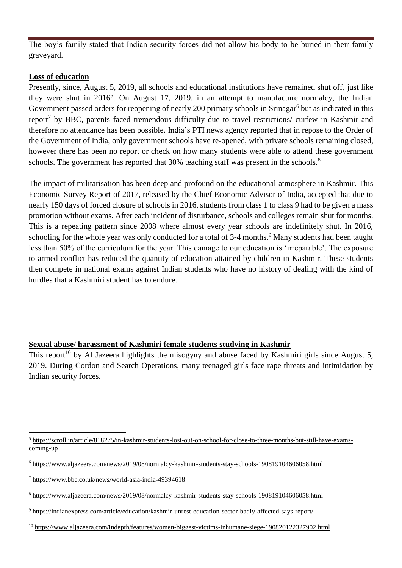The boy's family stated that Indian security forces did not allow his body to be buried in their family graveyard.

#### **Loss of education**

Presently, since, August 5, 2019, all schools and educational institutions have remained shut off, just like they were shut in  $2016^5$ . On August 17, 2019, in an attempt to manufacture normalcy, the Indian Government passed orders for reopening of nearly 200 primary schools in Srinagar<sup>6</sup> but as indicated in this report<sup>7</sup> by BBC, parents faced tremendous difficulty due to travel restrictions/ curfew in Kashmir and therefore no attendance has been possible. India's PTI news agency reported that in repose to the Order of the Government of India, only government schools have re-opened, with private schools remaining closed, however there has been no report or check on how many students were able to attend these government schools. The government has reported that 30% teaching staff was present in the schools.<sup>8</sup>

The impact of militarisation has been deep and profound on the educational atmosphere in Kashmir. This Economic Survey Report of 2017, released by the Chief Economic Advisor of India, accepted that due to nearly 150 days of forced closure of schools in 2016, students from class 1 to class 9 had to be given a mass promotion without exams. After each incident of disturbance, schools and colleges remain shut for months. This is a repeating pattern since 2008 where almost every year schools are indefinitely shut. In 2016, schooling for the whole year was only conducted for a total of 3-4 months.<sup>9</sup> Many students had been taught less than 50% of the curriculum for the year. This damage to our education is 'irreparable'. The exposure to armed conflict has reduced the quantity of education attained by children in Kashmir. These students then compete in national exams against Indian students who have no history of dealing with the kind of hurdles that a Kashmiri student has to endure.

### **Sexual abuse/ harassment of Kashmiri female students studying in Kashmir**

This report<sup>10</sup> by Al Jazeera highlights the misogyny and abuse faced by Kashmiri girls since August 5, 2019. During Cordon and Search Operations, many teenaged girls face rape threats and intimidation by Indian security forces.

 $\ddot{\phantom{a}}$ <sup>5</sup> [https://scroll.in/article/818275/in-kashmir-students-lost-out-on-school-for-close-to-three-months-but-still-have-exams](https://scroll.in/article/818275/in-kashmir-students-lost-out-on-school-for-close-to-three-months-but-still-have-exams-coming-up)[coming-up](https://scroll.in/article/818275/in-kashmir-students-lost-out-on-school-for-close-to-three-months-but-still-have-exams-coming-up)

<sup>6</sup> <https://www.aljazeera.com/news/2019/08/normalcy-kashmir-students-stay-schools-190819104606058.html>

<sup>7</sup> <https://www.bbc.co.uk/news/world-asia-india-49394618>

<sup>8</sup> <https://www.aljazeera.com/news/2019/08/normalcy-kashmir-students-stay-schools-190819104606058.html>

<sup>9</sup> <https://indianexpress.com/article/education/kashmir-unrest-education-sector-badly-affected-says-report/>

<sup>10</sup> <https://www.aljazeera.com/indepth/features/women-biggest-victims-inhumane-siege-190820122327902.html>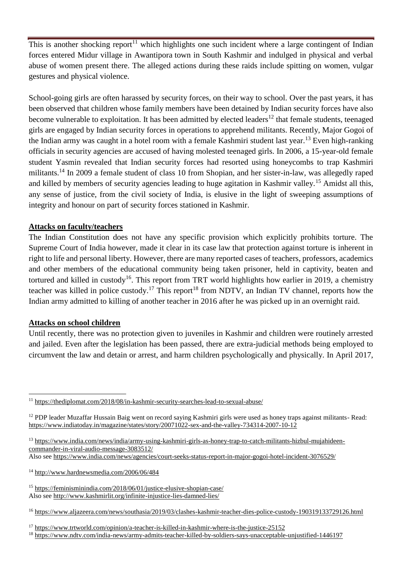This is another shocking report<sup>11</sup> which highlights one such incident where a large contingent of Indian forces entered Midur village in Awantipora town in South Kashmir and indulged in physical and verbal abuse of women present there. The alleged actions during these raids include spitting on women, vulgar gestures and physical violence.

School-going girls are often harassed by security forces, on their way to school. Over the past years, it has been observed that children whose family members have been detained by Indian security forces have also become vulnerable to exploitation. It has been admitted by elected leaders<sup>12</sup> that female students, teenaged girls are engaged by Indian security forces in operations to apprehend militants. Recently, Major Gogoi of the Indian army was caught in a hotel room with a female Kashmiri student last year.<sup>13</sup> Even high-ranking officials in security agencies are accused of having molested teenaged girls. In 2006, a 15-year-old female student Yasmin revealed that Indian security forces had resorted using honeycombs to trap Kashmiri militants.<sup>14</sup> In 2009 a female student of class 10 from Shopian, and her sister-in-law, was allegedly raped and killed by members of security agencies leading to huge agitation in Kashmir valley.<sup>15</sup> Amidst all this, any sense of justice, from the civil society of India, is elusive in the light of sweeping assumptions of integrity and honour on part of security forces stationed in Kashmir.

## **Attacks on faculty/teachers**

The Indian Constitution does not have any specific provision which explicitly prohibits torture. The Supreme Court of India however, made it clear in its case law that protection against torture is inherent in right to life and personal liberty. However, there are many reported cases of teachers, professors, academics and other members of the educational community being taken prisoner, held in captivity, beaten and tortured and killed in custody<sup>16</sup>. This report from TRT world highlights how earlier in 2019, a chemistry teacher was killed in police custody.<sup>17</sup> This report<sup>18</sup> from NDTV, an Indian TV channel, reports how the Indian army admitted to killing of another teacher in 2016 after he was picked up in an overnight raid.

### **Attacks on school children**

 $\overline{a}$ 

Until recently, there was no protection given to juveniles in Kashmir and children were routinely arrested and jailed. Even after the legislation has been passed, there are extra-judicial methods being employed to circumvent the law and detain or arrest, and harm children psychologically and physically. In April 2017,

- <sup>14</sup> <http://www.hardnewsmedia.com/2006/06/484>
- <sup>15</sup> <https://feminisminindia.com/2018/06/01/justice-elusive-shopian-case/> Also see<http://www.kashmirlit.org/infinite-injustice-lies-damned-lies/>
- <sup>16</sup> <https://www.aljazeera.com/news/southasia/2019/03/clashes-kashmir-teacher-dies-police-custody-190319133729126.html>

<sup>11</sup> <https://thediplomat.com/2018/08/in-kashmir-security-searches-lead-to-sexual-abuse/>

<sup>12</sup> PDP leader Muzaffar Hussain Baig went on record saying Kashmiri girls were used as honey traps against militants- Read: <https://www.indiatoday.in/magazine/states/story/20071022-sex-and-the-valley-734314-2007-10-12>

<sup>&</sup>lt;sup>13</sup> [https://www.india.com/news/india/army-using-kashmiri-girls-as-honey-trap-to-catch-militants-hizbul-mujahideen](https://www.india.com/news/india/army-using-kashmiri-girls-as-honey-trap-to-catch-militants-hizbul-mujahideen-commander-in-viral-audio-message-3083512/)[commander-in-viral-audio-message-3083512/](https://www.india.com/news/india/army-using-kashmiri-girls-as-honey-trap-to-catch-militants-hizbul-mujahideen-commander-in-viral-audio-message-3083512/)

Also see<https://www.india.com/news/agencies/court-seeks-status-report-in-major-gogoi-hotel-incident-3076529/>

<sup>&</sup>lt;sup>17</sup> <https://www.trtworld.com/opinion/a-teacher-is-killed-in-kashmir-where-is-the-justice-25152>

<sup>&</sup>lt;sup>18</sup> <https://www.ndtv.com/india-news/army-admits-teacher-killed-by-soldiers-says-unacceptable-unjustified-1446197>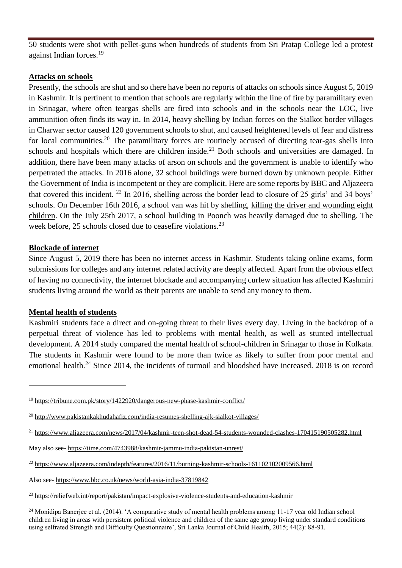50 students were shot with pellet-guns when hundreds of students from Sri Pratap College led a protest against Indian forces.<sup>19</sup>

#### **Attacks on schools**

Presently, the schools are shut and so there have been no reports of attacks on schools since August 5, 2019 in Kashmir. It is pertinent to mention that schools are regularly within the line of fire by paramilitary even in Srinagar, where often teargas shells are fired into schools and in the schools near the LOC, live ammunition often finds its way in. In 2014, heavy shelling by Indian forces on the Sialkot border villages in Charwar sector caused 120 government schools to shut, and caused heightened levels of fear and distress for local communities.<sup>20</sup> The paramilitary forces are routinely accused of directing tear-gas shells into schools and hospitals which there are children inside.<sup>21</sup> Both schools and universities are damaged. In addition, there have been many attacks of arson on schools and the government is unable to identify who perpetrated the attacks. In 2016 alone, 32 school buildings were burned down by unknown people. Either the Government of India is incompetent or they are complicit. Here are some reports by BBC and Aljazeera that covered this incident. <sup>22</sup> In 2016, shelling across the border lead to closure of 25 girls' and 34 boys' schools. On December 16th 2016, a school van was hit by shelling, [killing the driver and wounding eight](https://www.aljazeera.com/news/2016/12/dead-indian-shelling-school-van-kashmir-161216132132004.html)  [children.](https://www.aljazeera.com/news/2016/12/dead-indian-shelling-school-van-kashmir-161216132132004.html) On the July 25th 2017, a school building in Poonch was heavily damaged due to shelling. The week before, [25 schools closed](https://www.outlookindia.com/website/story/pakistan-army-shelled-schools-it-is-not-something-we-would-do-says-indian-army/299788) due to ceasefire violations.<sup>23</sup>

#### **Blockade of internet**

Since August 5, 2019 there has been no internet access in Kashmir. Students taking online exams, form submissions for colleges and any internet related activity are deeply affected. Apart from the obvious effect of having no connectivity, the internet blockade and accompanying curfew situation has affected Kashmiri students living around the world as their parents are unable to send any money to them.

#### **Mental health of students**

 $\overline{a}$ 

Kashmiri students face a direct and on-going threat to their lives every day. Living in the backdrop of a perpetual threat of violence has led to problems with mental health, as well as stunted intellectual development. A 2014 study compared the mental health of school-children in Srinagar to those in Kolkata. The students in Kashmir were found to be more than twice as likely to suffer from poor mental and emotional health.<sup>24</sup> Since 2014, the incidents of turmoil and bloodshed have increased. 2018 is on record

<sup>19</sup> <https://tribune.com.pk/story/1422920/dangerous-new-phase-kashmir-conflict/>

<sup>&</sup>lt;sup>20</sup> <http://www.pakistankakhudahafiz.com/india-resumes-shelling-ajk-sialkot-villages/>

<sup>&</sup>lt;sup>21</sup> <https://www.aljazeera.com/news/2017/04/kashmir-teen-shot-dead-54-students-wounded-clashes-170415190505282.html>

May also see- <https://time.com/4743988/kashmir-jammu-india-pakistan-unrest/>

<sup>22</sup> <https://www.aljazeera.com/indepth/features/2016/11/burning-kashmir-schools-161102102009566.html>

Also see- <https://www.bbc.co.uk/news/world-asia-india-37819842>

<sup>23</sup> https://reliefweb.int/report/pakistan/impact-explosive-violence-students-and-education-kashmir

 $24$  Monidipa Banerjee et al. (2014). 'A comparative study of mental health problems among 11-17 year old Indian school children living in areas with persistent political violence and children of the same age group living under standard conditions using selfrated Strength and Difficulty Questionnaire', Sri Lanka Journal of Child Health, 2015; 44(2): 88-91.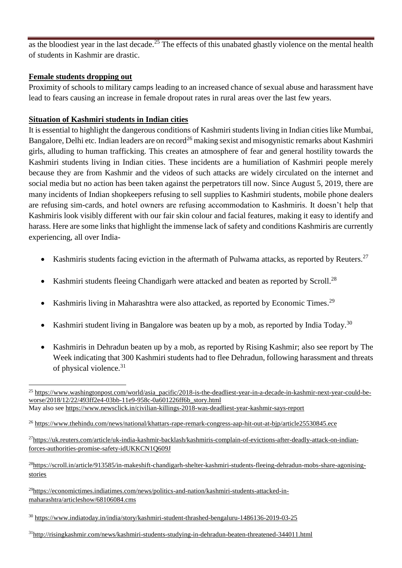as the bloodiest year in the last decade.<sup>25</sup> The effects of this unabated ghastly violence on the mental health of students in Kashmir are drastic.

## **Female students dropping out**

Proximity of schools to military camps leading to an increased chance of sexual abuse and harassment have lead to fears causing an increase in female dropout rates in rural areas over the last few years.

# **Situation of Kashmiri students in Indian cities**

It is essential to highlight the dangerous conditions of Kashmiri students living in Indian cities like Mumbai, Bangalore, Delhi etc. Indian leaders are on record<sup>26</sup> making sexist and misogynistic remarks about Kashmiri girls, alluding to human trafficking. This creates an atmosphere of fear and general hostility towards the Kashmiri students living in Indian cities. These incidents are a humiliation of Kashmiri people merely because they are from Kashmir and the videos of such attacks are widely circulated on the internet and social media but no action has been taken against the perpetrators till now. Since August 5, 2019, there are many incidents of Indian shopkeepers refusing to sell supplies to Kashmiri students, mobile phone dealers are refusing sim-cards, and hotel owners are refusing accommodation to Kashmiris. It doesn't help that Kashmiris look visibly different with our fair skin colour and facial features, making it easy to identify and harass. Here are some links that highlight the immense lack of safety and conditions Kashmiris are currently experiencing, all over India-

- Kashmiris students facing eviction in the aftermath of Pulwama attacks, as reported by Reuters.<sup>27</sup>
- Kashmiri students fleeing Chandigarh were attacked and beaten as reported by Scroll.<sup>28</sup>
- Kashmiris living in Maharashtra were also attacked, as reported by Economic Times.<sup>29</sup>
- Kashmiri student living in Bangalore was beaten up by a mob, as reported by India Today.<sup>30</sup>
- Kashmiris in Dehradun beaten up by a mob, as reported by Rising Kashmir; also see report by The Week indicating that 300 Kashmiri students had to flee Dehradun, following harassment and threats of physical violence.<sup>31</sup>

<sup>31</sup>http://risingkashmir.com/news/kashmiri-students-studying-in-dehradun-beaten-threatened-344011.html

 $\overline{a}$ <sup>25</sup> [https://www.washingtonpost.com/world/asia\\_pacific/2018-is-the-deadliest-year-in-a-decade-in-kashmir-next-year-could-be](https://www.washingtonpost.com/world/asia_pacific/2018-is-the-deadliest-year-in-a-decade-in-kashmir-next-year-could-be-worse/2018/12/22/493ff2e4-03bb-11e9-958c-0a601226ff6b_story.html)[worse/2018/12/22/493ff2e4-03bb-11e9-958c-0a601226ff6b\\_story.html](https://www.washingtonpost.com/world/asia_pacific/2018-is-the-deadliest-year-in-a-decade-in-kashmir-next-year-could-be-worse/2018/12/22/493ff2e4-03bb-11e9-958c-0a601226ff6b_story.html) May also see<https://www.newsclick.in/civilian-killings-2018-was-deadliest-year-kashmir-says-report>

<sup>26</sup> <https://www.thehindu.com/news/national/khattars-rape-remark-congress-aap-hit-out-at-bjp/article25530845.ece>

<sup>27</sup>[https://uk.reuters.com/article/uk-india-kashmir-backlash/kashmiris-complain-of-evictions-after-deadly-attack-on-indian](https://uk.reuters.com/article/uk-india-kashmir-backlash/kashmiris-complain-of-evictions-after-deadly-attack-on-indian-forces-authorities-promise-safety-idUKKCN1Q609J)[forces-authorities-promise-safety-idUKKCN1Q609J](https://uk.reuters.com/article/uk-india-kashmir-backlash/kashmiris-complain-of-evictions-after-deadly-attack-on-indian-forces-authorities-promise-safety-idUKKCN1Q609J)

<sup>&</sup>lt;sup>28</sup>[https://scroll.in/article/913585/in-makeshift-chandigarh-shelter-kashmiri-students-fleeing-dehradun-mobs-share-agonising](https://scroll.in/article/913585/in-makeshift-chandigarh-shelter-kashmiri-students-fleeing-dehradun-mobs-share-agonising-stories)[stories](https://scroll.in/article/913585/in-makeshift-chandigarh-shelter-kashmiri-students-fleeing-dehradun-mobs-share-agonising-stories)

<sup>29</sup>[https://economictimes.indiatimes.com/news/politics-and-nation/kashmiri-students-attacked-in](https://economictimes.indiatimes.com/news/politics-and-nation/kashmiri-students-attacked-in-maharashtra/articleshow/68106084.cms)[maharashtra/articleshow/68106084.cms](https://economictimes.indiatimes.com/news/politics-and-nation/kashmiri-students-attacked-in-maharashtra/articleshow/68106084.cms)

<sup>30</sup> <https://www.indiatoday.in/india/story/kashmiri-student-thrashed-bengaluru-1486136-2019-03-25>